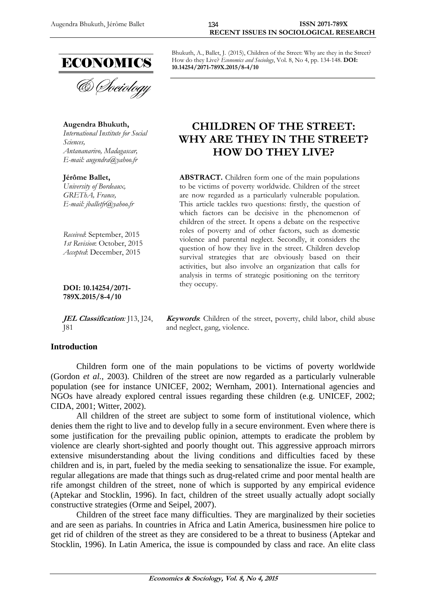

**Augendra Bhukuth,**  *International Institute for Social Sciences, Antananarivo, Madagascar, E-mail: augendra@yahoo.fr* 

**Jérôme Ballet,**  *University of Bordeaux, GREThA, France, E-mail: jballetfr@yahoo.fr* 

*Received*: September, 2015 *1st Revision*: October, 2015 *Accepted*: December, 2015

**DOI: 10.14254/2071- 789X.2015/8-4/10**

**JEL Classification***:* J13, J24, J81

## **Introduction**

Bhukuth, A., Ballet, J. (2015), Children of the Street: Why are they in the Street? How do they Live? *Economics and Sociology*, Vol. 8, No 4, pp. 134-148. **DOI: 10.14254/2071-789X.2015/8-4/10** 

# **CHILDREN OF THE STREET: WHY ARE THEY IN THE STREET? HOW DO THEY LIVE?**

**ABSTRACT.** Children form one of the main populations to be victims of poverty worldwide. Children of the street are now regarded as a particularly vulnerable population. This article tackles two questions: firstly, the question of which factors can be decisive in the phenomenon of children of the street. It opens a debate on the respective roles of poverty and of other factors, such as domestic violence and parental neglect. Secondly, it considers the question of how they live in the street. Children develop survival strategies that are obviously based on their activities, but also involve an organization that calls for analysis in terms of strategic positioning on the territory they occupy.

**Keywords**: Children of the street, poverty, child labor, child abuse and neglect, gang, violence.

Children form one of the main populations to be victims of poverty worldwide (Gordon *et al.*, 2003). Children of the street are now regarded as a particularly vulnerable population (see for instance UNICEF, 2002; Wernham, 2001). International agencies and NGOs have already explored central issues regarding these children (e.g. UNICEF, 2002; CIDA, 2001; Witter, 2002).

All children of the street are subject to some form of institutional violence, which denies them the right to live and to develop fully in a secure environment. Even where there is some justification for the prevailing public opinion, attempts to eradicate the problem by violence are clearly short-sighted and poorly thought out. This aggressive approach mirrors extensive misunderstanding about the living conditions and difficulties faced by these children and is, in part, fueled by the media seeking to sensationalize the issue. For example, regular allegations are made that things such as drug-related crime and poor mental health are rife amongst children of the street, none of which is supported by any empirical evidence (Aptekar and Stocklin, 1996). In fact, children of the street usually actually adopt socially constructive strategies (Orme and Seipel, 2007).

Children of the street face many difficulties. They are marginalized by their societies and are seen as pariahs. In countries in Africa and Latin America, businessmen hire police to get rid of children of the street as they are considered to be a threat to business (Aptekar and Stocklin, 1996). In Latin America, the issue is compounded by class and race. An elite class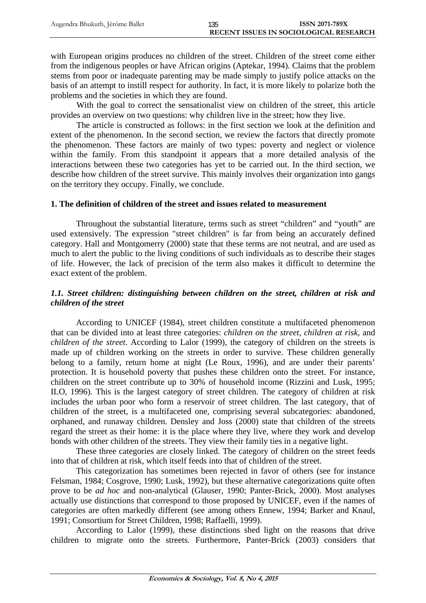with European origins produces no children of the street. Children of the street come either from the indigenous peoples or have African origins (Aptekar, 1994). Claims that the problem stems from poor or inadequate parenting may be made simply to justify police attacks on the basis of an attempt to instill respect for authority. In fact, it is more likely to polarize both the problems and the societies in which they are found.

With the goal to correct the sensationalist view on children of the street, this article provides an overview on two questions: why children live in the street; how they live.

The article is constructed as follows: in the first section we look at the definition and extent of the phenomenon. In the second section, we review the factors that directly promote the phenomenon. These factors are mainly of two types: poverty and neglect or violence within the family. From this standpoint it appears that a more detailed analysis of the interactions between these two categories has yet to be carried out. In the third section, we describe how children of the street survive. This mainly involves their organization into gangs on the territory they occupy. Finally, we conclude.

## **1. The definition of children of the street and issues related to measurement**

Throughout the substantial literature, terms such as street "children" and "youth" are used extensively. The expression "street children" is far from being an accurately defined category. Hall and Montgomerry (2000) state that these terms are not neutral, and are used as much to alert the public to the living conditions of such individuals as to describe their stages of life. However, the lack of precision of the term also makes it difficult to determine the exact extent of the problem.

## *1.1. Street children: distinguishing between children on the street, children at risk and children of the street*

According to UNICEF (1984), street children constitute a multifaceted phenomenon that can be divided into at least three categories: *children on the street, children at risk*, and *children of the street*. According to Lalor (1999), the category of children on the streets is made up of children working on the streets in order to survive. These children generally belong to a family, return home at night (Le Roux, 1996), and are under their parents' protection. It is household poverty that pushes these children onto the street. For instance, children on the street contribute up to 30% of household income (Rizzini and Lusk, 1995; ILO, 1996). This is the largest category of street children. The category of children at risk includes the urban poor who form a reservoir of street children. The last category, that of children of the street, is a multifaceted one, comprising several subcategories: abandoned, orphaned, and runaway children. Densley and Joss (2000) state that children of the streets regard the street as their home: it is the place where they live, where they work and develop bonds with other children of the streets. They view their family ties in a negative light.

These three categories are closely linked. The category of children on the street feeds into that of children at risk, which itself feeds into that of children of the street.

This categorization has sometimes been rejected in favor of others (see for instance Felsman, 1984; Cosgrove, 1990; Lusk, 1992), but these alternative categorizations quite often prove to be *ad hoc* and non-analytical (Glauser, 1990; Panter-Brick, 2000). Most analyses actually use distinctions that correspond to those proposed by UNICEF, even if the names of categories are often markedly different (see among others Ennew, 1994; Barker and Knaul, 1991; Consortium for Street Children, 1998; Raffaelli, 1999).

According to Lalor (1999), these distinctions shed light on the reasons that drive children to migrate onto the streets. Furthermore, Panter-Brick (2003) considers that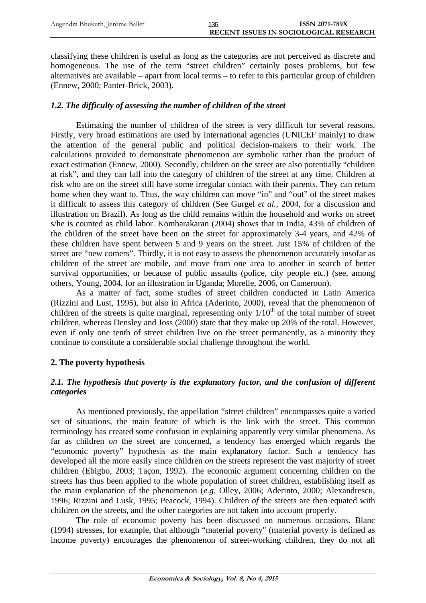classifying these children is useful as long as the categories are not perceived as discrete and homogeneous. The use of the term "street children" certainly poses problems, but few alternatives are available – apart from local terms – to refer to this particular group of children (Ennew, 2000; Panter-Brick, 2003).

## *1.2. The difficulty of assessing the number of children of the street*

Estimating the number of children of the street is very difficult for several reasons. Firstly, very broad estimations are used by international agencies (UNICEF mainly) to draw the attention of the general public and political decision-makers to their work. The calculations provided to demonstrate phenomenon are symbolic rather than the product of exact estimation (Ennew, 2000). Secondly, children on the street are also potentially "children at risk", and they can fall into the category of children of the street at any time. Children at risk who are on the street still have some irregular contact with their parents. They can return home when they want to. Thus, the way children can move "in" and "out" of the street makes it difficult to assess this category of children (See Gurgel *et al.*, 2004, for a discussion and illustration on Brazil). As long as the child remains within the household and works on street s/he is counted as child labor. Kombarakaran (2004) shows that in India, 43% of children of the children of the street have been on the street for approximately 3-4 years, and 42% of these children have spent between 5 and 9 years on the street. Just 15% of children of the street are "new comers". Thirdly, it is not easy to assess the phenomenon accurately insofar as children of the street are mobile, and move from one area to another in search of better survival opportunities, or because of public assaults (police, city people etc.) (see, among others, Young, 2004, for an illustration in Uganda; Morelle, 2006, on Cameroon).

As a matter of fact, some studies of street children conducted in Latin America (Rizzini and Lust, 1995), but also in Africa (Aderinto, 2000), reveal that the phenomenon of children of the streets is quite marginal, representing only  $1/10<sup>th</sup>$  of the total number of street children, whereas Densley and Joss (2000) state that they make up 20% of the total. However, even if only one tenth of street children live on the street permanently, as a minority they continue to constitute a considerable social challenge throughout the world.

# **2. The poverty hypothesis**

# 2.1. The hypothesis that poverty is the explanatory factor, and the confusion of different *categories*

As mentioned previously, the appellation "street children" encompasses quite a varied set of situations, the main feature of which is the link with the street. This common terminology has created some confusion in explaining apparently very similar phenomena. As far as children *on* the street are concerned, a tendency has emerged which regards the "economic poverty" hypothesis as the main explanatory factor. Such a tendency has developed all the more easily since children *on* the streets represent the vast majority of street children (Ebigbo, 2003; Taçon, 1992). The economic argument concerning children on the streets has thus been applied to the whole population of street children, establishing itself as the main explanation of the phenomenon (*e.g.* Olley, 2006; Aderinto, 2000; Alexandrescu, 1996; Rizzini and Lusk, 1995; Peacock, 1994). Children *of* the streets are then equated with children *on* the streets, and the other categories are not taken into account properly.

The role of economic poverty has been discussed on numerous occasions. Blanc (1994) stresses, for example, that although "material poverty" (material poverty is defined as income poverty) encourages the phenomenon of street-working children, they do not all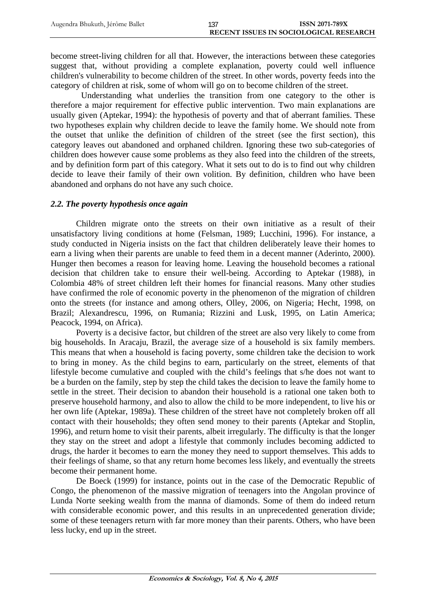become street-living children for all that. However, the interactions between these categories suggest that, without providing a complete explanation, poverty could well influence children's vulnerability to become children of the street. In other words, poverty feeds into the category of children at risk, some of whom will go on to become children of the street.

Understanding what underlies the transition from one category to the other is therefore a major requirement for effective public intervention. Two main explanations are usually given (Aptekar, 1994): the hypothesis of poverty and that of aberrant families. These two hypotheses explain why children decide to leave the family home. We should note from the outset that unlike the definition of children of the street (see the first section), this category leaves out abandoned and orphaned children. Ignoring these two sub-categories of children does however cause some problems as they also feed into the children of the streets, and by definition form part of this category. What it sets out to do is to find out why children decide to leave their family of their own volition. By definition, children who have been abandoned and orphans do not have any such choice.

## *2.2. The poverty hypothesis once again*

Children migrate onto the streets on their own initiative as a result of their unsatisfactory living conditions at home (Felsman, 1989; Lucchini, 1996). For instance, a study conducted in Nigeria insists on the fact that children deliberately leave their homes to earn a living when their parents are unable to feed them in a decent manner (Aderinto, 2000). Hunger then becomes a reason for leaving home. Leaving the household becomes a rational decision that children take to ensure their well-being. According to Aptekar (1988), in Colombia 48% of street children left their homes for financial reasons. Many other studies have confirmed the role of economic poverty in the phenomenon of the migration of children onto the streets (for instance and among others, Olley, 2006, on Nigeria; Hecht, 1998, on Brazil; Alexandrescu, 1996, on Rumania; Rizzini and Lusk, 1995, on Latin America; Peacock, 1994, on Africa).

Poverty is a decisive factor, but children of the street are also very likely to come from big households. In Aracaju, Brazil, the average size of a household is six family members. This means that when a household is facing poverty, some children take the decision to work to bring in money. As the child begins to earn, particularly on the street, elements of that lifestyle become cumulative and coupled with the child's feelings that s/he does not want to be a burden on the family, step by step the child takes the decision to leave the family home to settle in the street. Their decision to abandon their household is a rational one taken both to preserve household harmony, and also to allow the child to be more independent, to live his or her own life (Aptekar, 1989a). These children of the street have not completely broken off all contact with their households; they often send money to their parents (Aptekar and Stoplin, 1996), and return home to visit their parents, albeit irregularly. The difficulty is that the longer they stay on the street and adopt a lifestyle that commonly includes becoming addicted to drugs, the harder it becomes to earn the money they need to support themselves. This adds to their feelings of shame, so that any return home becomes less likely, and eventually the streets become their permanent home.

De Boeck (1999) for instance, points out in the case of the Democratic Republic of Congo, the phenomenon of the massive migration of teenagers into the Angolan province of Lunda Norte seeking wealth from the manna of diamonds. Some of them do indeed return with considerable economic power, and this results in an unprecedented generation divide; some of these teenagers return with far more money than their parents. Others, who have been less lucky, end up in the street.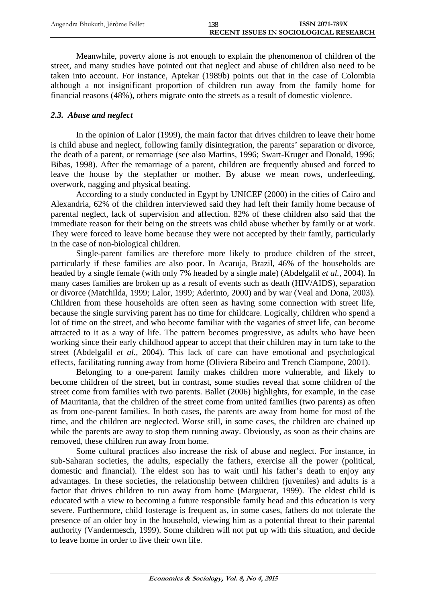Meanwhile, poverty alone is not enough to explain the phenomenon of children of the street, and many studies have pointed out that neglect and abuse of children also need to be taken into account. For instance, Aptekar (1989b) points out that in the case of Colombia although a not insignificant proportion of children run away from the family home for financial reasons (48%), others migrate onto the streets as a result of domestic violence.

## *2.3. Abuse and neglect*

In the opinion of Lalor (1999), the main factor that drives children to leave their home is child abuse and neglect, following family disintegration, the parents' separation or divorce, the death of a parent, or remarriage (see also Martins, 1996; Swart-Kruger and Donald, 1996; Bibas, 1998). After the remarriage of a parent, children are frequently abused and forced to leave the house by the stepfather or mother. By abuse we mean rows, underfeeding, overwork, nagging and physical beating.

According to a study conducted in Egypt by UNICEF (2000) in the cities of Cairo and Alexandria, 62% of the children interviewed said they had left their family home because of parental neglect, lack of supervision and affection. 82% of these children also said that the immediate reason for their being on the streets was child abuse whether by family or at work. They were forced to leave home because they were not accepted by their family, particularly in the case of non-biological children.

Single-parent families are therefore more likely to produce children of the street, particularly if these families are also poor. In Acaruja, Brazil, 46% of the households are headed by a single female (with only 7% headed by a single male) (Abdelgalil *et al.*, 2004). In many cases families are broken up as a result of events such as death (HIV/AIDS), separation or divorce (Matchilda, 1999; Lalor, 1999; Aderinto, 2000) and by war (Veal and Dona, 2003). Children from these households are often seen as having some connection with street life, because the single surviving parent has no time for childcare. Logically, children who spend a lot of time on the street, and who become familiar with the vagaries of street life, can become attracted to it as a way of life. The pattern becomes progressive, as adults who have been working since their early childhood appear to accept that their children may in turn take to the street (Abdelgalil *et al.*, 2004). This lack of care can have emotional and psychological effects, facilitating running away from home (Oliviera Ribeiro and Trench Ciampone, 2001).

Belonging to a one-parent family makes children more vulnerable, and likely to become children of the street, but in contrast, some studies reveal that some children of the street come from families with two parents. Ballet (2006) highlights, for example, in the case of Mauritania, that the children of the street come from united families (two parents) as often as from one-parent families. In both cases, the parents are away from home for most of the time, and the children are neglected. Worse still, in some cases, the children are chained up while the parents are away to stop them running away. Obviously, as soon as their chains are removed, these children run away from home.

Some cultural practices also increase the risk of abuse and neglect. For instance, in sub-Saharan societies, the adults, especially the fathers, exercise all the power (political, domestic and financial). The eldest son has to wait until his father's death to enjoy any advantages. In these societies, the relationship between children (juveniles) and adults is a factor that drives children to run away from home (Marguerat, 1999). The eldest child is educated with a view to becoming a future responsible family head and this education is very severe. Furthermore, child fosterage is frequent as, in some cases, fathers do not tolerate the presence of an older boy in the household, viewing him as a potential threat to their parental authority (Vandermesch, 1999). Some children will not put up with this situation, and decide to leave home in order to live their own life.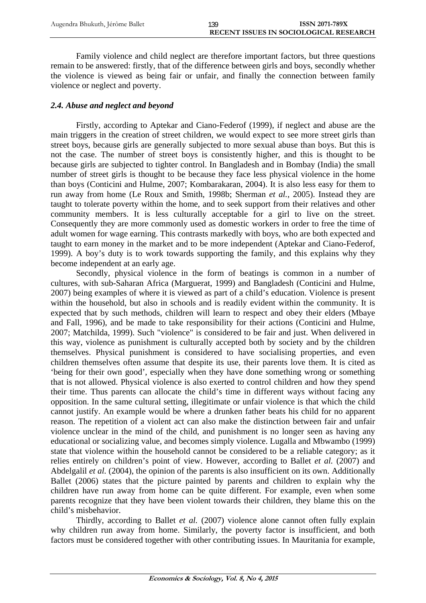Family violence and child neglect are therefore important factors, but three questions remain to be answered: firstly, that of the difference between girls and boys, secondly whether the violence is viewed as being fair or unfair, and finally the connection between family violence or neglect and poverty.

# *2.4. Abuse and neglect and beyond*

Firstly, according to Aptekar and Ciano-Federof (1999), if neglect and abuse are the main triggers in the creation of street children, we would expect to see more street girls than street boys, because girls are generally subjected to more sexual abuse than boys. But this is not the case. The number of street boys is consistently higher, and this is thought to be because girls are subjected to tighter control. In Bangladesh and in Bombay (India) the small number of street girls is thought to be because they face less physical violence in the home than boys (Conticini and Hulme, 2007; Kombarakaran, 2004). It is also less easy for them to run away from home (Le Roux and Smith, 1998b; Sherman *et al.*, 2005). Instead they are taught to tolerate poverty within the home, and to seek support from their relatives and other community members. It is less culturally acceptable for a girl to live on the street. Consequently they are more commonly used as domestic workers in order to free the time of adult women for wage earning. This contrasts markedly with boys, who are both expected and taught to earn money in the market and to be more independent (Aptekar and Ciano-Federof, 1999). A boy's duty is to work towards supporting the family, and this explains why they become independent at an early age.

Secondly, physical violence in the form of beatings is common in a number of cultures, with sub-Saharan Africa (Marguerat, 1999) and Bangladesh (Conticini and Hulme, 2007) being examples of where it is viewed as part of a child's education. Violence is present within the household, but also in schools and is readily evident within the community. It is expected that by such methods, children will learn to respect and obey their elders (Mbaye and Fall, 1996), and be made to take responsibility for their actions (Conticini and Hulme, 2007; Matchilda, 1999). Such "violence" is considered to be fair and just. When delivered in this way, violence as punishment is culturally accepted both by society and by the children themselves. Physical punishment is considered to have socialising properties, and even children themselves often assume that despite its use, their parents love them. It is cited as 'being for their own good', especially when they have done something wrong or something that is not allowed. Physical violence is also exerted to control children and how they spend their time. Thus parents can allocate the child's time in different ways without facing any opposition. In the same cultural setting, illegitimate or unfair violence is that which the child cannot justify. An example would be where a drunken father beats his child for no apparent reason. The repetition of a violent act can also make the distinction between fair and unfair violence unclear in the mind of the child, and punishment is no longer seen as having any educational or socializing value, and becomes simply violence. Lugalla and Mbwambo (1999) state that violence within the household cannot be considered to be a reliable category; as it relies entirely on children's point of view. However, according to Ballet *et al.* (2007) and Abdelgalil *et al.* (2004), the opinion of the parents is also insufficient on its own. Additionally Ballet (2006) states that the picture painted by parents and children to explain why the children have run away from home can be quite different. For example, even when some parents recognize that they have been violent towards their children, they blame this on the child's misbehavior.

Thirdly, according to Ballet *et al.* (2007) violence alone cannot often fully explain why children run away from home. Similarly, the poverty factor is insufficient, and both factors must be considered together with other contributing issues. In Mauritania for example,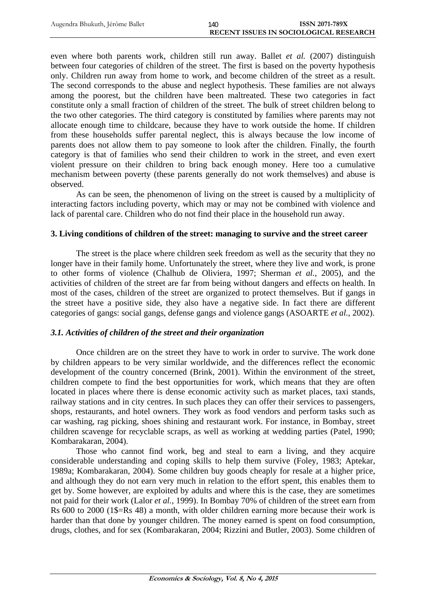even where both parents work, children still run away. Ballet *et al.* (2007) distinguish between four categories of children of the street. The first is based on the poverty hypothesis only. Children run away from home to work, and become children of the street as a result. The second corresponds to the abuse and neglect hypothesis. These families are not always among the poorest, but the children have been maltreated. These two categories in fact constitute only a small fraction of children of the street. The bulk of street children belong to the two other categories. The third category is constituted by families where parents may not allocate enough time to childcare, because they have to work outside the home. If children from these households suffer parental neglect, this is always because the low income of parents does not allow them to pay someone to look after the children. Finally, the fourth category is that of families who send their children to work in the street, and even exert violent pressure on their children to bring back enough money. Here too a cumulative mechanism between poverty (these parents generally do not work themselves) and abuse is observed.

As can be seen, the phenomenon of living on the street is caused by a multiplicity of interacting factors including poverty, which may or may not be combined with violence and lack of parental care. Children who do not find their place in the household run away.

## **3. Living conditions of children of the street: managing to survive and the street career**

The street is the place where children seek freedom as well as the security that they no longer have in their family home. Unfortunately the street, where they live and work, is prone to other forms of violence (Chalhub de Oliviera, 1997; Sherman *et al.*, 2005), and the activities of children of the street are far from being without dangers and effects on health. In most of the cases, children of the street are organized to protect themselves. But if gangs in the street have a positive side, they also have a negative side. In fact there are different categories of gangs: social gangs, defense gangs and violence gangs (ASOARTE *et al.*, 2002).

## *3.1. Activities of children of the street and their organization*

Once children are on the street they have to work in order to survive. The work done by children appears to be very similar worldwide, and the differences reflect the economic development of the country concerned (Brink, 2001). Within the environment of the street, children compete to find the best opportunities for work, which means that they are often located in places where there is dense economic activity such as market places, taxi stands, railway stations and in city centres. In such places they can offer their services to passengers, shops, restaurants, and hotel owners. They work as food vendors and perform tasks such as car washing, rag picking, shoes shining and restaurant work. For instance, in Bombay, street children scavenge for recyclable scraps, as well as working at wedding parties (Patel, 1990; Kombarakaran, 2004).

Those who cannot find work, beg and steal to earn a living, and they acquire considerable understanding and coping skills to help them survive (Foley, 1983; Aptekar, 1989a; Kombarakaran, 2004). Some children buy goods cheaply for resale at a higher price, and although they do not earn very much in relation to the effort spent, this enables them to get by. Some however, are exploited by adults and where this is the case, they are sometimes not paid for their work (Lalor *et al.*, 1999). In Bombay 70% of children of the street earn from Rs 600 to 2000 (1\$=Rs 48) a month, with older children earning more because their work is harder than that done by younger children. The money earned is spent on food consumption, drugs, clothes, and for sex (Kombarakaran, 2004; Rizzini and Butler, 2003). Some children of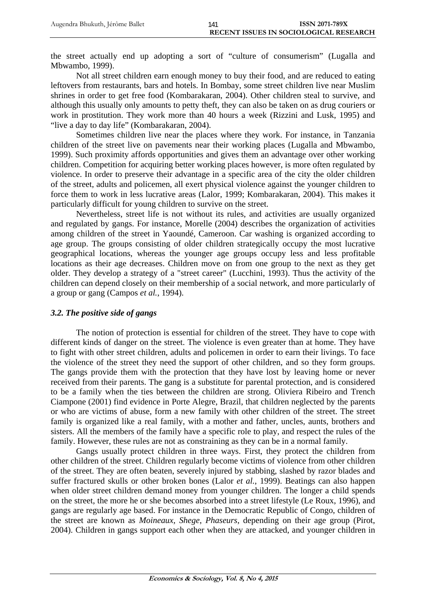the street actually end up adopting a sort of "culture of consumerism" (Lugalla and Mbwambo, 1999).

Not all street children earn enough money to buy their food, and are reduced to eating leftovers from restaurants, bars and hotels. In Bombay, some street children live near Muslim shrines in order to get free food (Kombarakaran, 2004). Other children steal to survive, and although this usually only amounts to petty theft, they can also be taken on as drug couriers or work in prostitution. They work more than 40 hours a week (Rizzini and Lusk, 1995) and "live a day to day life" (Kombarakaran, 2004).

Sometimes children live near the places where they work. For instance, in Tanzania children of the street live on pavements near their working places (Lugalla and Mbwambo, 1999). Such proximity affords opportunities and gives them an advantage over other working children. Competition for acquiring better working places however, is more often regulated by violence. In order to preserve their advantage in a specific area of the city the older children of the street, adults and policemen, all exert physical violence against the younger children to force them to work in less lucrative areas (Lalor, 1999; Kombarakaran, 2004). This makes it particularly difficult for young children to survive on the street.

Nevertheless, street life is not without its rules, and activities are usually organized and regulated by gangs. For instance, Morelle (2004) describes the organization of activities among children of the street in Yaoundé, Cameroon. Car washing is organized according to age group. The groups consisting of older children strategically occupy the most lucrative geographical locations, whereas the younger age groups occupy less and less profitable locations as their age decreases. Children move on from one group to the next as they get older. They develop a strategy of a "street career" (Lucchini, 1993). Thus the activity of the children can depend closely on their membership of a social network, and more particularly of a group or gang (Campos *et al.*, 1994).

## *3.2. The positive side of gangs*

The notion of protection is essential for children of the street. They have to cope with different kinds of danger on the street. The violence is even greater than at home. They have to fight with other street children, adults and policemen in order to earn their livings. To face the violence of the street they need the support of other children, and so they form groups. The gangs provide them with the protection that they have lost by leaving home or never received from their parents. The gang is a substitute for parental protection, and is considered to be a family when the ties between the children are strong. Oliviera Ribeiro and Trench Ciampone (2001) find evidence in Porte Alegre, Brazil, that children neglected by the parents or who are victims of abuse, form a new family with other children of the street. The street family is organized like a real family, with a mother and father, uncles, aunts, brothers and sisters. All the members of the family have a specific role to play, and respect the rules of the family. However, these rules are not as constraining as they can be in a normal family.

Gangs usually protect children in three ways. First, they protect the children from other children of the street. Children regularly become victims of violence from other children of the street. They are often beaten, severely injured by stabbing, slashed by razor blades and suffer fractured skulls or other broken bones (Lalor *et al.*, 1999). Beatings can also happen when older street children demand money from younger children. The longer a child spends on the street, the more he or she becomes absorbed into a street lifestyle (Le Roux, 1996), and gangs are regularly age based. For instance in the Democratic Republic of Congo, children of the street are known as *Moineaux*, *Shege*, *Phaseurs*, depending on their age group (Pirot, 2004). Children in gangs support each other when they are attacked, and younger children in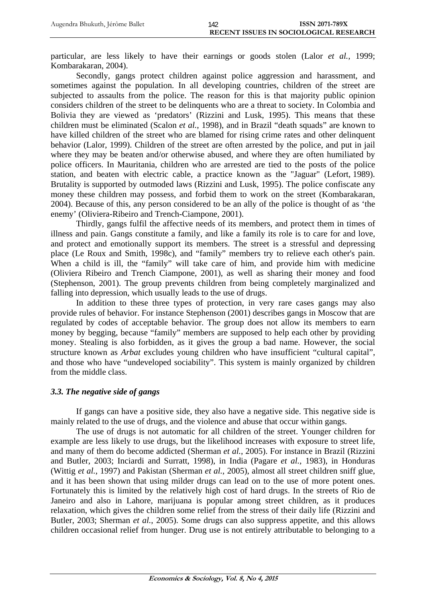particular, are less likely to have their earnings or goods stolen (Lalor *et al.*, 1999; Kombarakaran, 2004).

Secondly, gangs protect children against police aggression and harassment, and sometimes against the population. In all developing countries, children of the street are subjected to assaults from the police. The reason for this is that majority public opinion considers children of the street to be delinquents who are a threat to society. In Colombia and Bolivia they are viewed as 'predators' (Rizzini and Lusk, 1995). This means that these children must be eliminated (Scalon *et al.*, 1998), and in Brazil "death squads" are known to have killed children of the street who are blamed for rising crime rates and other delinquent behavior (Lalor, 1999). Children of the street are often arrested by the police, and put in jail where they may be beaten and/or otherwise abused, and where they are often humiliated by police officers. In Mauritania, children who are arrested are tied to the posts of the police station, and beaten with electric cable, a practice known as the "Jaguar" (Lefort, 1989). Brutality is supported by outmoded laws (Rizzini and Lusk, 1995). The police confiscate any money these children may possess, and forbid them to work on the street (Kombarakaran, 2004). Because of this, any person considered to be an ally of the police is thought of as 'the enemy' (Oliviera-Ribeiro and Trench-Ciampone, 2001).

Thirdly, gangs fulfil the affective needs of its members, and protect them in times of illness and pain. Gangs constitute a family, and like a family its role is to care for and love, and protect and emotionally support its members. The street is a stressful and depressing place (Le Roux and Smith, 1998c), and "family" members try to relieve each other's pain. When a child is ill, the "family" will take care of him, and provide him with medicine (Oliviera Ribeiro and Trench Ciampone, 2001), as well as sharing their money and food (Stephenson, 2001). The group prevents children from being completely marginalized and falling into depression, which usually leads to the use of drugs.

In addition to these three types of protection, in very rare cases gangs may also provide rules of behavior. For instance Stephenson (2001) describes gangs in Moscow that are regulated by codes of acceptable behavior. The group does not allow its members to earn money by begging, because "family" members are supposed to help each other by providing money. Stealing is also forbidden, as it gives the group a bad name. However, the social structure known as *Arbat* excludes young children who have insufficient "cultural capital", and those who have "undeveloped sociability". This system is mainly organized by children from the middle class.

# *3.3. The negative side of gangs*

If gangs can have a positive side, they also have a negative side. This negative side is mainly related to the use of drugs, and the violence and abuse that occur within gangs.

The use of drugs is not automatic for all children of the street. Younger children for example are less likely to use drugs, but the likelihood increases with exposure to street life, and many of them do become addicted (Sherman *et al.*, 2005). For instance in Brazil (Rizzini and Butler, 2003; Inciardi and Surratt, 1998), in India (Pagare *et al.*, 1983), in Honduras (Wittig *et al.*, 1997) and Pakistan (Sherman *et al.*, 2005), almost all street children sniff glue, and it has been shown that using milder drugs can lead on to the use of more potent ones. Fortunately this is limited by the relatively high cost of hard drugs. In the streets of Rio de Janeiro and also in Lahore, marijuana is popular among street children, as it produces relaxation, which gives the children some relief from the stress of their daily life (Rizzini and Butler, 2003; Sherman *et al.*, 2005). Some drugs can also suppress appetite, and this allows children occasional relief from hunger. Drug use is not entirely attributable to belonging to a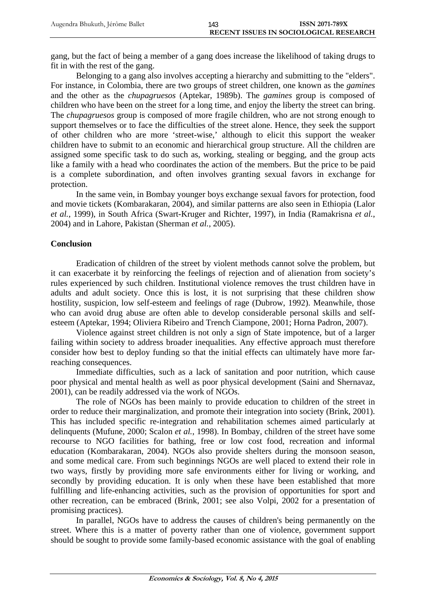gang, but the fact of being a member of a gang does increase the likelihood of taking drugs to fit in with the rest of the gang.

Belonging to a gang also involves accepting a hierarchy and submitting to the "elders". For instance, in Colombia, there are two groups of street children, one known as the *gamines* and the other as the *chupagruesos* (Aptekar, 1989b). The *gamines* group is composed of children who have been on the street for a long time, and enjoy the liberty the street can bring. The *chupagruesos* group is composed of more fragile children, who are not strong enough to support themselves or to face the difficulties of the street alone. Hence, they seek the support of other children who are more 'street-wise,' although to elicit this support the weaker children have to submit to an economic and hierarchical group structure. All the children are assigned some specific task to do such as, working, stealing or begging, and the group acts like a family with a head who coordinates the action of the members. But the price to be paid is a complete subordination, and often involves granting sexual favors in exchange for protection.

In the same vein, in Bombay younger boys exchange sexual favors for protection, food and movie tickets (Kombarakaran, 2004), and similar patterns are also seen in Ethiopia (Lalor *et al.*, 1999), in South Africa (Swart-Kruger and Richter, 1997), in India (Ramakrisna *et al.*, 2004) and in Lahore, Pakistan (Sherman *et al.*, 2005).

# **Conclusion**

Eradication of children of the street by violent methods cannot solve the problem, but it can exacerbate it by reinforcing the feelings of rejection and of alienation from society's rules experienced by such children. Institutional violence removes the trust children have in adults and adult society. Once this is lost, it is not surprising that these children show hostility, suspicion, low self-esteem and feelings of rage (Dubrow, 1992). Meanwhile, those who can avoid drug abuse are often able to develop considerable personal skills and selfesteem (Aptekar, 1994; Oliviera Ribeiro and Trench Ciampone, 2001; Horna Padron, 2007).

Violence against street children is not only a sign of State impotence, but of a larger failing within society to address broader inequalities. Any effective approach must therefore consider how best to deploy funding so that the initial effects can ultimately have more farreaching consequences.

Immediate difficulties, such as a lack of sanitation and poor nutrition, which cause poor physical and mental health as well as poor physical development (Saini and Shernavaz, 2001), can be readily addressed via the work of NGOs.

The role of NGOs has been mainly to provide education to children of the street in order to reduce their marginalization, and promote their integration into society (Brink, 2001). This has included specific re-integration and rehabilitation schemes aimed particularly at delinquents (Mufune, 2000; Scalon *et al.*, 1998). In Bombay, children of the street have some recourse to NGO facilities for bathing, free or low cost food, recreation and informal education (Kombarakaran, 2004). NGOs also provide shelters during the monsoon season, and some medical care. From such beginnings NGOs are well placed to extend their role in two ways, firstly by providing more safe environments either for living or working, and secondly by providing education. It is only when these have been established that more fulfilling and life-enhancing activities, such as the provision of opportunities for sport and other recreation, can be embraced (Brink, 2001; see also Volpi, 2002 for a presentation of promising practices).

In parallel, NGOs have to address the causes of children's being permanently on the street. Where this is a matter of poverty rather than one of violence, government support should be sought to provide some family-based economic assistance with the goal of enabling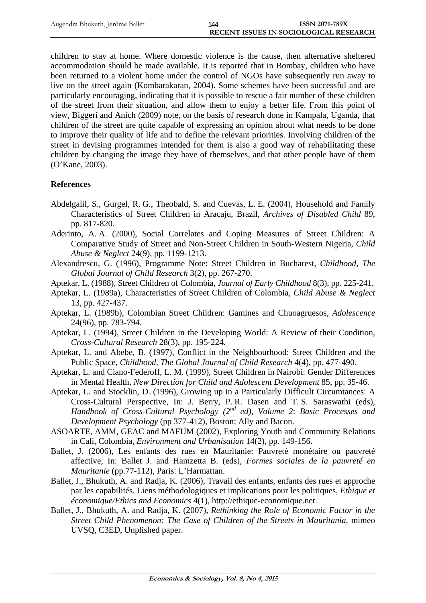children to stay at home. Where domestic violence is the cause, then alternative sheltered accommodation should be made available. It is reported that in Bombay, children who have been returned to a violent home under the control of NGOs have subsequently run away to live on the street again (Kombarakaran, 2004). Some schemes have been successful and are particularly encouraging, indicating that it is possible to rescue a fair number of these children of the street from their situation, and allow them to enjoy a better life. From this point of view, Biggeri and Anich (2009) note, on the basis of research done in Kampala, Uganda, that children of the street are quite capable of expressing an opinion about what needs to be done to improve their quality of life and to define the relevant priorities. Involving children of the street in devising programmes intended for them is also a good way of rehabilitating these children by changing the image they have of themselves, and that other people have of them (O'Kane, 2003).

## **References**

- Abdelgalil, S., Gurgel, R. G., Theobald, S. and Cuevas, L. E. (2004), Household and Family Characteristics of Street Children in Aracaju, Brazil, *Archives of Disabled Child* 89, pp. 817-820.
- Aderinto, A. A. (2000), Social Correlates and Coping Measures of Street Children: A Comparative Study of Street and Non-Street Children in South-Western Nigeria, *Child Abuse & Neglect* 24(9), pp. 1199-1213.
- Alexandrescu, G. (1996), Programme Note: Street Children in Bucharest, *Childhood, The Global Journal of Child Research* 3(2), pp. 267-270.
- Aptekar, L. (1988), Street Children of Colombia, *Journal of Early Childhood* 8(3), pp. 225-241.
- Aptekar, L. (1989a), Characteristics of Street Children of Colombia, *Child Abuse & Neglect* 13, pp. 427-437.
- Aptekar, L. (1989b), Colombian Street Children: Gamines and Chuoagruesos, *Adolescence* 24(96), pp. 783-794.
- Aptekar, L. (1994), Street Children in the Developing World: A Review of their Condition, *Cross-Cultural Research* 28(3), pp. 195-224.
- Aptekar, L. and Abebe, B. (1997), Conflict in the Neighbourhood: Street Children and the Public Space, *Childhood, The Global Journal of Child Research* 4(4), pp. 477-490.
- Aptekar, L. and Ciano-Federoff, L. M. (1999), Street Children in Nairobi: Gender Differences in Mental Health, *New Direction for Child and Adolescent Development* 85, pp. 35-46.
- Aptekar, L. and Stocklin, D. (1996), Growing up in a Particularly Difficult Circumtances: A Cross-Cultural Perspective, In: J. Berry, P. R. Dasen and T. S. Saraswathi (eds), *Handbook of Cross-Cultural Psychology (2nd ed), Volume 2*: *Basic Processes and Development Psychology* (pp 377-412), Boston: Ally and Bacon.
- ASOARTE, AMM, GEAC and MAFUM (2002), Exploring Youth and Community Relations in Cali, Colombia, *Environment and Urbanisation* 14(2), pp. 149-156.
- Ballet, J. (2006), Les enfants des rues en Mauritanie: Pauvreté monétaire ou pauvreté affective, In: Ballet J. and Hamzetta B. (eds), *Formes sociales de la pauvreté en Mauritanie* (pp.77-112), Paris: L'Harmattan.
- Ballet, J., Bhukuth, A. and Radja, K. (2006), Travail des enfants, enfants des rues et approche par les capabilités. Liens méthodologiques et implications pour les politiques, *Ethique et économique/Ethics and Economics* 4(1), http://ethique-economique.net.
- Ballet, J., Bhukuth, A. and Radja, K. (2007), *Rethinking the Role of Economic Factor in the Street Child Phenomenon: The Case of Children of the Streets in Mauritania*, mimeo UVSQ, C3ED, Unplished paper.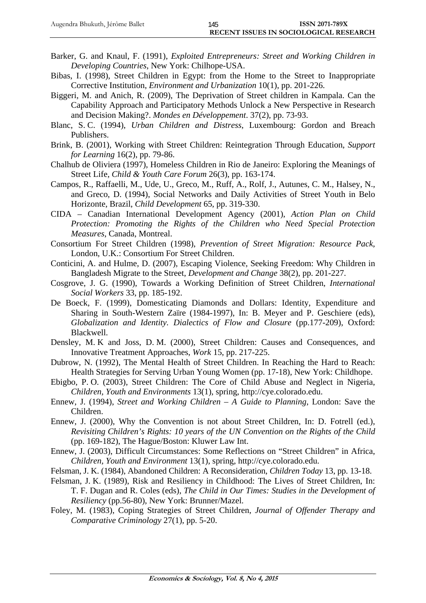- Barker, G. and Knaul, F. (1991), *Exploited Entrepreneurs: Street and Working Children in Developing Countries*, New York: Chilhope-USA.
- Bibas, I. (1998), Street Children in Egypt: from the Home to the Street to Inappropriate Corrective Institution, *Environment and Urbanization* 10(1), pp. 201-226.
- Biggeri, M. and Anich, R. (2009), The Deprivation of Street children in Kampala. Can the Capability Approach and Participatory Methods Unlock a New Perspective in Research and Decision Making?. *Mondes en Développement*. 37(2), pp. 73-93.
- Blanc, S. C. (1994), *Urban Children and Distress*, Luxembourg: Gordon and Breach Publishers.
- Brink, B. (2001), Working with Street Children: Reintegration Through Education, *Support for Learning* 16(2), pp. 79-86.
- Chalhub de Oliviera (1997), Homeless Children in Rio de Janeiro: Exploring the Meanings of Street Life, *Child & Youth Care Forum* 26(3), pp. 163-174.
- Campos, R., Raffaelli, M., Ude, U., Greco, M., Ruff, A., Rolf, J., Autunes, C. M., Halsey, N., and Greco, D. (1994), Social Networks and Daily Activities of Street Youth in Belo Horizonte, Brazil, *Child Development* 65, pp. 319-330.
- CIDA Canadian International Development Agency (2001), *Action Plan on Child Protection: Promoting the Rights of the Children who Need Special Protection Measures*, Canada, Montreal.
- Consortium For Street Children (1998), *Prevention of Street Migration: Resource Pack*, London, U.K.: Consortium For Street Children.
- Conticini, A. and Hulme, D. (2007), Escaping Violence, Seeking Freedom: Why Children in Bangladesh Migrate to the Street, *Development and Change* 38(2), pp. 201-227.
- Cosgrove, J. G. (1990), Towards a Working Definition of Street Children, *International Social Workers* 33, pp. 185-192.
- De Boeck, F. (1999), Domesticating Diamonds and Dollars: Identity, Expenditure and Sharing in South-Western Zaïre (1984-1997), In: B. Meyer and P. Geschiere (eds), *Globalization and Identity. Dialectics of Flow and Closure* (pp.177-209), Oxford: Blackwell.
- Densley, M. K and Joss, D. M. (2000), Street Children: Causes and Consequences, and Innovative Treatment Approaches, *Work* 15, pp. 217-225.
- Dubrow, N. (1992), The Mental Health of Street Children. In Reaching the Hard to Reach: Health Strategies for Serving Urban Young Women (pp. 17-18), New York: Childhope.
- Ebigbo, P. O. (2003), Street Children: The Core of Child Abuse and Neglect in Nigeria, *Children, Youth and Environments* 13(1), spring, http://cye.colorado.edu.
- Ennew, J. (1994), *Street and Working Children A Guide to Planning*, London: Save the Children.
- Ennew, J. (2000), Why the Convention is not about Street Children, In: D. Fotrell (ed.), *Revisiting Children's Rights: 10 years of the UN Convention on the Rights of the Child* (pp. 169-182), The Hague/Boston: Kluwer Law Int.
- Ennew, J. (2003), Difficult Circumstances: Some Reflections on "Street Children" in Africa, *Children, Youth and Environment* 13(1), spring, http://cye.colorado.edu.
- Felsman, J. K. (1984), Abandoned Children: A Reconsideration, *Children Today* 13, pp. 13-18.
- Felsman, J. K. (1989), Risk and Resiliency in Childhood: The Lives of Street Children, In: T. F. Dugan and R. Coles (eds), *The Child in Our Times: Studies in the Development of Resiliency* (pp.56-80), New York: Brunner/Mazel.
- Foley, M. (1983), Coping Strategies of Street Children, *Journal of Offender Therapy and Comparative Criminology* 27(1), pp. 5-20.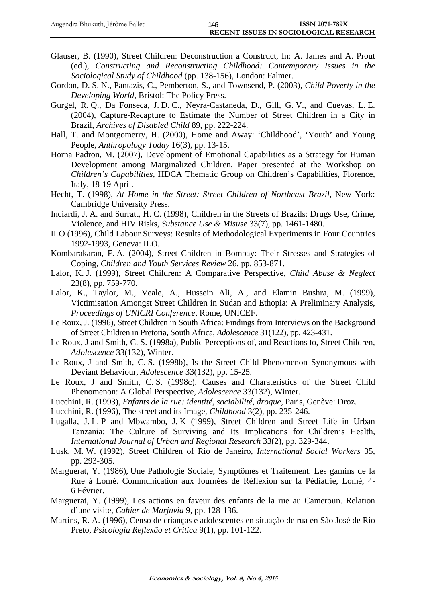- Glauser, B. (1990), Street Children: Deconstruction a Construct, In: A. James and A. Prout (ed.), *Constructing and Reconstructing Childhood: Contemporary Issues in the Sociological Study of Childhood* (pp. 138-156), London: Falmer.
- Gordon, D. S. N., Pantazis, C., Pemberton, S., and Townsend, P. (2003), *Child Poverty in the Developing World*, Bristol: The Policy Press.
- Gurgel, R. Q., Da Fonseca, J. D. C., Neyra-Castaneda, D., Gill, G. V., and Cuevas, L. E. (2004), Capture-Recapture to Estimate the Number of Street Children in a City in Brazil, *Archives of Disabled Child* 89, pp. 222-224.
- Hall, T. and Montgomerry, H. (2000), Home and Away: 'Childhood', 'Youth' and Young People, *Anthropology Today* 16(3), pp. 13-15.
- Horna Padron, M. (2007), Development of Emotional Capabilities as a Strategy for Human Development among Marginalized Children, Paper presented at the Workshop on *Children's Capabilities*, HDCA Thematic Group on Children's Capabilities, Florence, Italy, 18-19 April.
- Hecht, T. (1998), *At Home in the Street: Street Children of Northeast Brazil*, New York: Cambridge University Press.
- Inciardi, J. A. and Surratt, H. C. (1998), Children in the Streets of Brazils: Drugs Use, Crime, Violence, and HIV Risks, *Substance Use & Misuse* 33(7), pp. 1461-1480.
- ILO (1996), Child Labour Surveys: Results of Methodological Experiments in Four Countries 1992-1993, Geneva: ILO.
- Kombarakaran, F. A. (2004), Street Children in Bombay: Their Stresses and Strategies of Coping, *Children and Youth Services Review* 26, pp. 853-871.
- Lalor, K. J. (1999), Street Children: A Comparative Perspective, *Child Abuse & Neglect* 23(8), pp. 759-770.
- Lalor, K., Taylor, M., Veale, A., Hussein Ali, A., and Elamin Bushra, M. (1999), Victimisation Amongst Street Children in Sudan and Ethopia: A Preliminary Analysis, *Proceedings of UNICRI Conference*, Rome, UNICEF.
- Le Roux, J. (1996), Street Children in South Africa: Findings from Interviews on the Background of Street Children in Pretoria, South Africa, *Adolescence* 31(122), pp. 423-431.
- Le Roux, J and Smith, C. S. (1998a), Public Perceptions of, and Reactions to, Street Children, *Adolescence* 33(132), Winter.
- Le Roux, J and Smith, C. S. (1998b), Is the Street Child Phenomenon Synonymous with Deviant Behaviour, *Adolescence* 33(132), pp. 15-25.
- Le Roux, J and Smith, C. S. (1998c), Causes and Charateristics of the Street Child Phenomenon: A Global Perspective, *Adolescence* 33(132), Winter.
- Lucchini, R. (1993), *Enfants de la rue: identité, sociabilité, drogue*, Paris, Genève: Droz.
- Lucchini, R. (1996), The street and its Image, *Childhood* 3(2), pp. 235-246.
- Lugalla, J. L. P and Mbwambo, J. K (1999), Street Children and Street Life in Urban Tanzania: The Culture of Surviving and Its Implications for Children's Health, *International Journal of Urban and Regional Research* 33(2), pp. 329-344.
- Lusk, M. W. (1992), Street Children of Rio de Janeiro, *International Social Workers* 35, pp. 293-305.
- Marguerat, Y. (1986), Une Pathologie Sociale, Symptômes et Traitement: Les gamins de la Rue à Lomé. Communication aux Journées de Réflexion sur la Pédiatrie, Lomé, 4- 6 Février.
- Marguerat, Y. (1999), Les actions en faveur des enfants de la rue au Cameroun. Relation d'une visite, *Cahier de Marjuvia* 9, pp. 128-136.
- Martins, R. A. (1996), Censo de crianças e adolescentes en situação de rua en São José de Rio Preto, *Psicologia Reflexão et Critica* 9(1), pp. 101-122.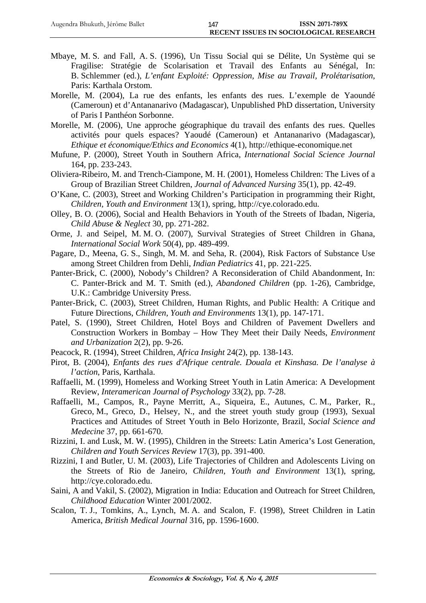- Mbaye, M. S. and Fall, A. S. (1996), Un Tissu Social qui se Délite, Un Système qui se Fragilise: Stratégie de Scolarisation et Travail des Enfants au Sénégal, In: B. Schlemmer (ed.), *L'enfant Exploité: Oppression, Mise au Travail, Prolétarisation*, Paris: Karthala Orstom.
- Morelle, M. (2004), La rue des enfants, les enfants des rues. L'exemple de Yaoundé (Cameroun) et d'Antananarivo (Madagascar), Unpublished PhD dissertation, University of Paris I Panthéon Sorbonne.
- Morelle, M. (2006), Une approche géographique du travail des enfants des rues. Quelles activités pour quels espaces? Yaoudé (Cameroun) et Antananarivo (Madagascar), *Ethique et économique/Ethics and Economics* 4(1), http://ethique-economique.net
- Mufune, P. (2000), Street Youth in Southern Africa, *International Social Science Journal* 164, pp. 233-243.
- Oliviera-Ribeiro, M. and Trench-Ciampone, M. H. (2001), Homeless Children: The Lives of a Group of Brazilian Street Children, *Journal of Advanced Nursing* 35(1), pp. 42-49.
- O'Kane, C. (2003), Street and Working Children's Participation in programming their Right, *Children, Youth and Environment* 13(1), spring, http://cye.colorado.edu.
- Olley, B. O. (2006), Social and Health Behaviors in Youth of the Streets of Ibadan, Nigeria, *Child Abuse & Neglect* 30, pp. 271-282.
- Orme, J. and Seipel, M. M. O. (2007), Survival Strategies of Street Children in Ghana, *International Social Work* 50(4), pp. 489-499.
- Pagare, D., Meena, G. S., Singh, M. M. and Seha, R. (2004), Risk Factors of Substance Use among Street Children from Dehli, *Indian Pediatrics* 41, pp. 221-225.
- Panter-Brick, C. (2000), Nobody's Children? A Reconsideration of Child Abandonment, In: C. Panter-Brick and M. T. Smith (ed.), *Abandoned Children* (pp. 1-26), Cambridge, U.K.: Cambridge University Press.
- Panter-Brick, C. (2003), Street Children, Human Rights, and Public Health: A Critique and Future Directions, *Children, Youth and Environments* 13(1), pp. 147-171.
- Patel, S. (1990), Street Children, Hotel Boys and Children of Pavement Dwellers and Construction Workers in Bombay – How They Meet their Daily Needs, *Environment and Urbanization* 2(2), pp. 9-26.
- Peacock, R. (1994), Street Children, *Africa Insight* 24(2), pp. 138-143.
- Pirot, B. (2004), *Enfants des rues d'Afrique centrale. Douala et Kinshasa. De l'analyse à l'action*, Paris, Karthala.
- Raffaelli, M. (1999), Homeless and Working Street Youth in Latin America: A Development Review, *Interamerican Journal of Psychology* 33(2), pp. 7-28.
- Raffaelli, M., Campos, R., Payne Merritt, A., Siqueira, E., Autunes, C. M., Parker, R., Greco, M., Greco, D., Helsey, N., and the street youth study group (1993), Sexual Practices and Attitudes of Street Youth in Belo Horizonte, Brazil, *Social Science and Medecine* 37, pp. 661-670.
- Rizzini, I. and Lusk, M. W. (1995), Children in the Streets: Latin America's Lost Generation, *Children and Youth Services Review* 17(3), pp. 391-400.
- Rizzini, I and Butler, U. M. (2003), Life Trajectories of Children and Adolescents Living on the Streets of Rio de Janeiro, *Children, Youth and Environment* 13(1), spring, http://cye.colorado.edu.
- Saini, A and Vakil, S. (2002), Migration in India: Education and Outreach for Street Children, *Childhood Education* Winter 2001/2002.
- Scalon, T. J., Tomkins, A., Lynch, M. A. and Scalon, F. (1998), Street Children in Latin America, *British Medical Journal* 316, pp. 1596-1600.